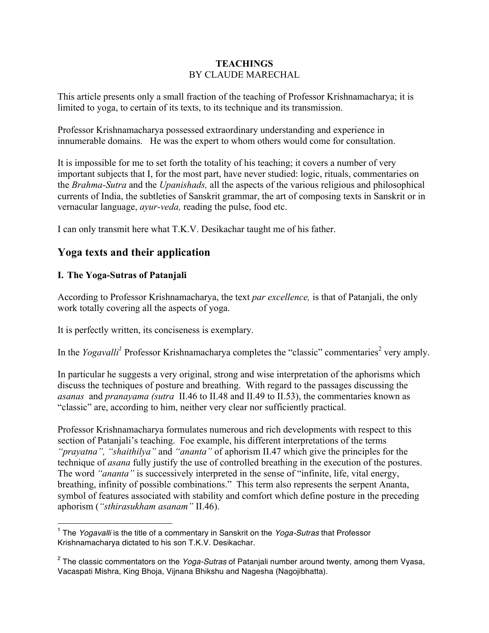## **TEACHINGS** BY CLAUDE MARECHAL

This article presents only a small fraction of the teaching of Professor Krishnamacharya; it is limited to yoga, to certain of its texts, to its technique and its transmission.

Professor Krishnamacharya possessed extraordinary understanding and experience in innumerable domains. He was the expert to whom others would come for consultation.

It is impossible for me to set forth the totality of his teaching; it covers a number of very important subjects that I, for the most part, have never studied: logic, rituals, commentaries on the *Brahma-Sutra* and the *Upanishads,* all the aspects of the various religious and philosophical currents of India, the subtleties of Sanskrit grammar, the art of composing texts in Sanskrit or in vernacular language, *ayur-veda,* reading the pulse, food etc.

I can only transmit here what T.K.V. Desikachar taught me of his father.

# **Yoga texts and their application**

# **I. The Yoga-Sutras of Patanjali**

 $\overline{a}$ 

According to Professor Krishnamacharya, the text *par excellence,* is that of Patanjali, the only work totally covering all the aspects of yoga.

It is perfectly written, its conciseness is exemplary.

In the *Yogavalli*<sup>1</sup> Professor Krishnamacharya completes the "classic" commentaries<sup>2</sup> very amply.

In particular he suggests a very original, strong and wise interpretation of the aphorisms which discuss the techniques of posture and breathing. With regard to the passages discussing the *asanas* and *pranayama (sutra* II.46 to II.48 and II.49 to II.53), the commentaries known as "classic" are, according to him, neither very clear nor sufficiently practical.

Professor Krishnamacharya formulates numerous and rich developments with respect to this section of Patanjali's teaching. Foe example, his different interpretations of the terms *"prayatna", "shaithilya"* and *"ananta"* of aphorism II.47 which give the principles for the technique of *asana* fully justify the use of controlled breathing in the execution of the postures. The word *"ananta"* is successively interpreted in the sense of "infinite, life, vital energy, breathing, infinity of possible combinations." This term also represents the serpent Ananta, symbol of features associated with stability and comfort which define posture in the preceding aphorism (*"sthirasukham asanam"* II.46).

<sup>1</sup> The *Yogavalli* is the title of a commentary in Sanskrit on the *Yoga-Sutras* that Professor Krishnamacharya dictated to his son T.K.V. Desikachar.

<sup>2</sup> The classic commentators on the *Yoga-Sutras* of Patanjali number around twenty, among them Vyasa, Vacaspati Mishra, King Bhoja, Vijnana Bhikshu and Nagesha (Nagojibhatta).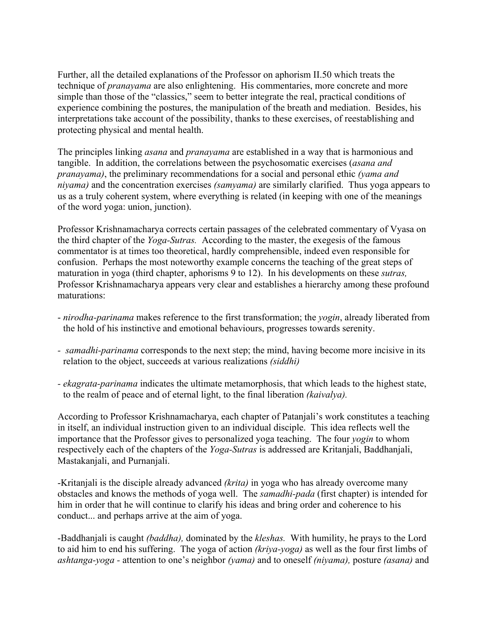Further, all the detailed explanations of the Professor on aphorism II.50 which treats the technique of *pranayama* are also enlightening. His commentaries, more concrete and more simple than those of the "classics," seem to better integrate the real, practical conditions of experience combining the postures, the manipulation of the breath and mediation. Besides, his interpretations take account of the possibility, thanks to these exercises, of reestablishing and protecting physical and mental health.

The principles linking *asana* and *pranayama* are established in a way that is harmonious and tangible. In addition, the correlations between the psychosomatic exercises (*asana and pranayama)*, the preliminary recommendations for a social and personal ethic *(yama and niyama)* and the concentration exercises *(samyama)* are similarly clarified. Thus yoga appears to us as a truly coherent system, where everything is related (in keeping with one of the meanings of the word yoga: union, junction).

Professor Krishnamacharya corrects certain passages of the celebrated commentary of Vyasa on the third chapter of the *Yoga-Sutras.* According to the master, the exegesis of the famous commentator is at times too theoretical, hardly comprehensible, indeed even responsible for confusion. Perhaps the most noteworthy example concerns the teaching of the great steps of maturation in yoga (third chapter, aphorisms 9 to 12). In his developments on these *sutras,*  Professor Krishnamacharya appears very clear and establishes a hierarchy among these profound maturations:

- *nirodha-parinama* makes reference to the first transformation; the *yogin*, already liberated from the hold of his instinctive and emotional behaviours, progresses towards serenity.
- *- samadhi-parinama* corresponds to the next step; the mind, having become more incisive in its relation to the object, succeeds at various realizations *(siddhi)*
- *- ekagrata-parinama* indicates the ultimate metamorphosis, that which leads to the highest state, to the realm of peace and of eternal light, to the final liberation *(kaivalya).*

According to Professor Krishnamacharya, each chapter of Patanjali's work constitutes a teaching in itself, an individual instruction given to an individual disciple. This idea reflects well the importance that the Professor gives to personalized yoga teaching. The four *yogin* to whom respectively each of the chapters of the *Yoga-Sutras* is addressed are Kritanjali, Baddhanjali, Mastakanjali, and Purnanjali.

-Kritanjali is the disciple already advanced *(krita)* in yoga who has already overcome many obstacles and knows the methods of yoga well. The *samadhi-pada* (first chapter) is intended for him in order that he will continue to clarify his ideas and bring order and coherence to his conduct... and perhaps arrive at the aim of yoga.

-Baddhanjali is caught *(baddha),* dominated by the *kleshas.* With humility, he prays to the Lord to aid him to end his suffering. The yoga of action *(kriya-yoga)* as well as the four first limbs of *ashtanga-yoga -* attention to one's neighbor *(yama)* and to oneself *(niyama),* posture *(asana)* and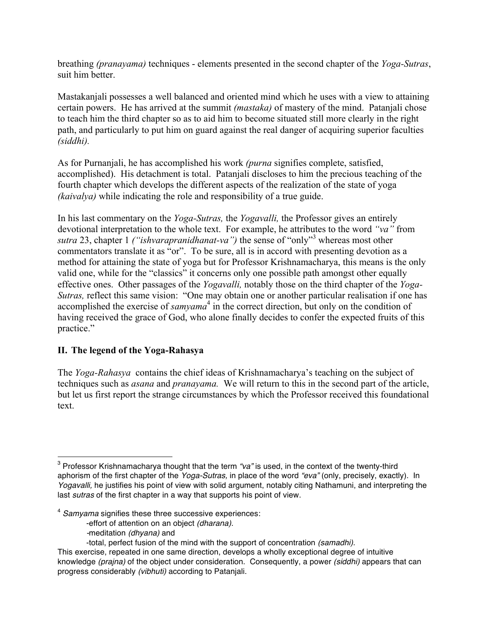breathing *(pranayama)* techniques - elements presented in the second chapter of the *Yoga-Sutras*, suit him better.

Mastakanjali possesses a well balanced and oriented mind which he uses with a view to attaining certain powers. He has arrived at the summit *(mastaka)* of mastery of the mind. Patanjali chose to teach him the third chapter so as to aid him to become situated still more clearly in the right path, and particularly to put him on guard against the real danger of acquiring superior faculties *(siddhi).*

As for Purnanjali, he has accomplished his work *(purna* signifies complete, satisfied, accomplished). His detachment is total. Patanjali discloses to him the precious teaching of the fourth chapter which develops the different aspects of the realization of the state of yoga *(kaivalya)* while indicating the role and responsibility of a true guide.

In his last commentary on the *Yoga-Sutras,* the *Yogavalli,* the Professor gives an entirely devotional interpretation to the whole text. For example, he attributes to the word *"va"* from *sutra* 23, chapter 1 *("ishvarapranidhanat-va")* the sense of "only"<sup>3</sup> whereas most other commentators translate it as "or". To be sure, all is in accord with presenting devotion as a method for attaining the state of yoga but for Professor Krishnamacharya, this means is the only valid one, while for the "classics" it concerns only one possible path amongst other equally effective ones. Other passages of the *Yogavalli,* notably those on the third chapter of the *Yoga-Sutras,* reflect this same vision: "One may obtain one or another particular realisation if one has accomplished the exercise of *samyama* <sup>4</sup> in the correct direction, but only on the condition of having received the grace of God, who alone finally decides to confer the expected fruits of this practice."

## **II. The legend of the Yoga-Rahasya**

The *Yoga-Rahasya* contains the chief ideas of Krishnamacharya's teaching on the subject of techniques such as *asana* and *pranayama.* We will return to this in the second part of the article, but let us first report the strange circumstances by which the Professor received this foundational text.

*-*meditation *(dhyana)* and

 $\overline{a}$ <sup>3</sup> Professor Krishnamacharya thought that the term *"va"* is used, in the context of the twenty-third aphorism of the first chapter of the *Yoga-Sutras,* in place of the word *"eva"* (only, precisely, exactly). In *Yogavalli,* he justifies his point of view with solid argument, notably citing Nathamuni, and interpreting the last *sutras* of the first chapter in a way that supports his point of view.

<sup>4</sup> *Samyama* signifies these three successive experiences:

<sup>-</sup>effort of attention on an object *(dharana).*

<sup>-</sup>total, perfect fusion of the mind with the support of concentration *(samadhi).*

This exercise, repeated in one same direction, develops a wholly exceptional degree of intuitive knowledge *(prajna)* of the object under consideration. Consequently, a power *(siddhi)* appears that can progress considerably *(vibhuti)* according to Patanjali.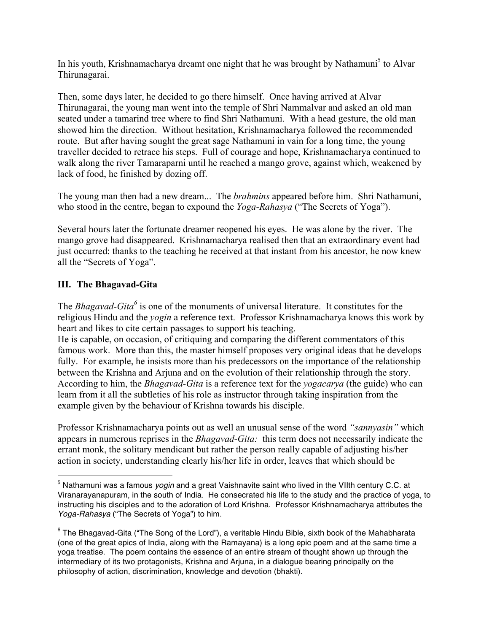In his youth, Krishnamacharya dreamt one night that he was brought by Nathamuni<sup>5</sup> to Alvar Thirunagarai.

Then, some days later, he decided to go there himself. Once having arrived at Alvar Thirunagarai, the young man went into the temple of Shri Nammalvar and asked an old man seated under a tamarind tree where to find Shri Nathamuni. With a head gesture, the old man showed him the direction. Without hesitation, Krishnamacharya followed the recommended route. But after having sought the great sage Nathamuni in vain for a long time, the young traveller decided to retrace his steps. Full of courage and hope, Krishnamacharya continued to walk along the river Tamaraparni until he reached a mango grove, against which, weakened by lack of food, he finished by dozing off.

The young man then had a new dream... The *brahmins* appeared before him. Shri Nathamuni, who stood in the centre, began to expound the *Yoga-Rahasya* ("The Secrets of Yoga").

Several hours later the fortunate dreamer reopened his eyes. He was alone by the river. The mango grove had disappeared. Krishnamacharya realised then that an extraordinary event had just occurred: thanks to the teaching he received at that instant from his ancestor, he now knew all the "Secrets of Yoga".

# **III. The Bhagavad-Gita**

 $\overline{a}$ 

The *Bhagavad-Gita<sup>6</sup>* is one of the monuments of universal literature. It constitutes for the religious Hindu and the *yogin* a reference text. Professor Krishnamacharya knows this work by heart and likes to cite certain passages to support his teaching.

He is capable, on occasion, of critiquing and comparing the different commentators of this famous work. More than this, the master himself proposes very original ideas that he develops fully. For example, he insists more than his predecessors on the importance of the relationship between the Krishna and Arjuna and on the evolution of their relationship through the story. According to him, the *Bhagavad-Gita* is a reference text for the *yogacarya* (the guide) who can learn from it all the subtleties of his role as instructor through taking inspiration from the example given by the behaviour of Krishna towards his disciple.

Professor Krishnamacharya points out as well an unusual sense of the word *"sannyasin"* which appears in numerous reprises in the *Bhagavad-Gita:* this term does not necessarily indicate the errant monk, the solitary mendicant but rather the person really capable of adjusting his/her action in society, understanding clearly his/her life in order, leaves that which should be

<sup>5</sup> Nathamuni was a famous *yogin* and a great Vaishnavite saint who lived in the VIIth century C.C. at Viranarayanapuram, in the south of India. He consecrated his life to the study and the practice of yoga, to instructing his disciples and to the adoration of Lord Krishna. Professor Krishnamacharya attributes the *Yoga-Rahasya* ("The Secrets of Yoga") to him.

 $6$  The Bhagavad-Gita ("The Song of the Lord"), a veritable Hindu Bible, sixth book of the Mahabharata (one of the great epics of India, along with the Ramayana) is a long epic poem and at the same time a yoga treatise. The poem contains the essence of an entire stream of thought shown up through the intermediary of its two protagonists, Krishna and Arjuna, in a dialogue bearing principally on the philosophy of action, discrimination, knowledge and devotion (bhakti).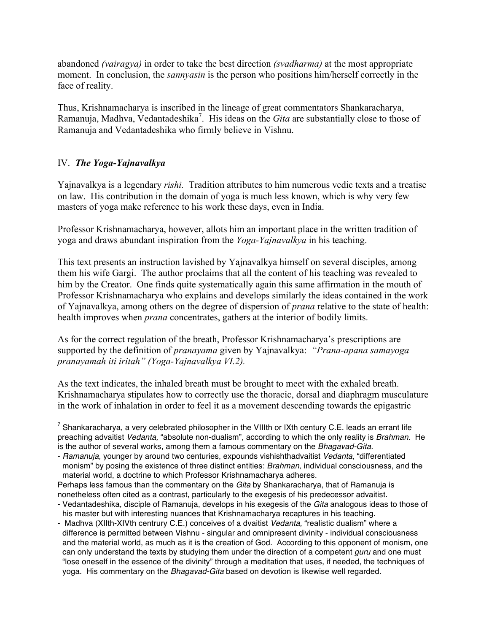abandoned *(vairagya)* in order to take the best direction *(svadharma)* at the most appropriate moment. In conclusion, the *sannyasin* is the person who positions him/herself correctly in the face of reality.

Thus, Krishnamacharya is inscribed in the lineage of great commentators Shankaracharya, Ramanuja, Madhva, Vedantadeshika<sup>7</sup>. His ideas on the *Gita* are substantially close to those of Ramanuja and Vedantadeshika who firmly believe in Vishnu.

# IV. *The Yoga-Yajnavalkya*

 $\overline{a}$ 

Yajnavalkya is a legendary *rishi.* Tradition attributes to him numerous vedic texts and a treatise on law. His contribution in the domain of yoga is much less known, which is why very few masters of yoga make reference to his work these days, even in India.

Professor Krishnamacharya, however, allots him an important place in the written tradition of yoga and draws abundant inspiration from the *Yoga-Yajnavalkya* in his teaching.

This text presents an instruction lavished by Yajnavalkya himself on several disciples, among them his wife Gargi. The author proclaims that all the content of his teaching was revealed to him by the Creator. One finds quite systematically again this same affirmation in the mouth of Professor Krishnamacharya who explains and develops similarly the ideas contained in the work of Yajnavalkya, among others on the degree of dispersion of *prana* relative to the state of health: health improves when *prana* concentrates, gathers at the interior of bodily limits.

As for the correct regulation of the breath, Professor Krishnamacharya's prescriptions are supported by the definition of *pranayama* given by Yajnavalkya: *"Prana-apana samayoga pranayamah iti iritah" (Yoga-Yajnavalkya VI.2).*

As the text indicates, the inhaled breath must be brought to meet with the exhaled breath. Krishnamacharya stipulates how to correctly use the thoracic, dorsal and diaphragm musculature in the work of inhalation in order to feel it as a movement descending towards the epigastric

 $7$  Shankaracharya, a very celebrated philosopher in the VIIIth or IXth century C.E. leads an errant life preaching advaitist *Vedanta,* "absolute non-dualism", according to which the only reality is *Brahman.* He is the author of several works, among them a famous commentary on the *Bhagavad-Gita.*

<sup>-</sup> *Ramanuja,* younger by around two centuries, expounds vishishthadvaitist *Vedanta,* "differentiated monism" by posing the existence of three distinct entities: *Brahman,* individual consciousness, and the material world, a doctrine to which Professor Krishnamacharya adheres.

Perhaps less famous than the commentary on the *Gita* by Shankaracharya, that of Ramanuja is nonetheless often cited as a contrast, particularly to the exegesis of his predecessor advaitist.

<sup>-</sup> Vedantadeshika, disciple of Ramanuja, develops in his exegesis of the *Gita* analogous ideas to those of his master but with interesting nuances that Krishnamacharya recaptures in his teaching.

<sup>-</sup> Madhva (XIIth-XIVth centrury C.E.) conceives of a dvaitist *Vedanta,* "realistic dualism" where a difference is permitted between Vishnu - singular and omnipresent divinity - individual consciousness and the material world, as much as it is the creation of God. According to this opponent of monism, one can only understand the texts by studying them under the direction of a competent *guru* and one must "lose oneself in the essence of the divinity" through a meditation that uses, if needed, the techniques of yoga. His commentary on the *Bhagavad-Gita* based on devotion is likewise well regarded.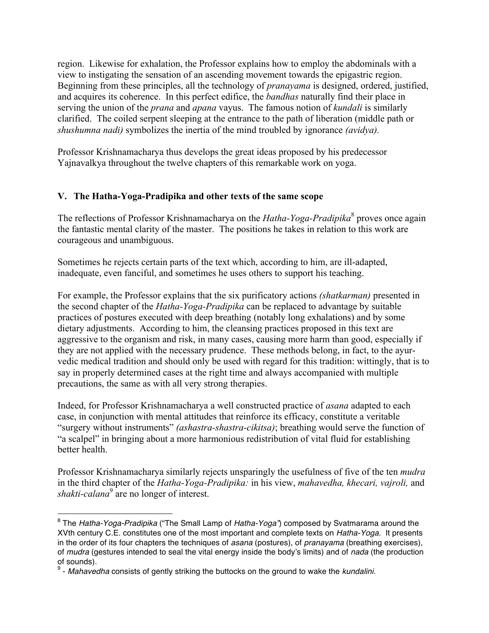region. Likewise for exhalation, the Professor explains how to employ the abdominals with a view to instigating the sensation of an ascending movement towards the epigastric region. Beginning from these principles, all the technology of *pranayama* is designed, ordered, justified, and acquires its coherence. In this perfect edifice, the *bandhas* naturally find their place in serving the union of the *prana* and *apana* vayus. The famous notion of *kundali* is similarly clarified. The coiled serpent sleeping at the entrance to the path of liberation (middle path or *shushumna nadi)* symbolizes the inertia of the mind troubled by ignorance *(avidya).*

Professor Krishnamacharya thus develops the great ideas proposed by his predecessor Yajnavalkya throughout the twelve chapters of this remarkable work on yoga.

# **V. The Hatha-Yoga-Pradipika and other texts of the same scope**

The reflections of Professor Krishnamacharya on the *Hatha-Yoga-Pradipika*<sup>8</sup> proves once again the fantastic mental clarity of the master. The positions he takes in relation to this work are courageous and unambiguous.

Sometimes he rejects certain parts of the text which, according to him, are ill-adapted, inadequate, even fanciful, and sometimes he uses others to support his teaching.

For example, the Professor explains that the six purificatory actions *(shatkarman)* presented in the second chapter of the *Hatha-Yoga-Pradipika* can be replaced to advantage by suitable practices of postures executed with deep breathing (notably long exhalations) and by some dietary adjustments. According to him, the cleansing practices proposed in this text are aggressive to the organism and risk, in many cases, causing more harm than good, especially if they are not applied with the necessary prudence. These methods belong, in fact, to the ayurvedic medical tradition and should only be used with regard for this tradition: wittingly, that is to say in properly determined cases at the right time and always accompanied with multiple precautions, the same as with all very strong therapies.

Indeed, for Professor Krishnamacharya a well constructed practice of *asana* adapted to each case, in conjunction with mental attitudes that reinforce its efficacy, constitute a veritable "surgery without instruments" *(ashastra-shastra-cikitsa)*; breathing would serve the function of "a scalpel" in bringing about a more harmonious redistribution of vital fluid for establishing better health.

Professor Krishnamacharya similarly rejects unsparingly the usefulness of five of the ten *mudra* in the third chapter of the *Hatha-Yoga-Pradipika:* in his view, *mahavedha, khecari, vajroli,* and *shakti-calana*<sup>9</sup> are no longer of interest.

 $\overline{a}$ 

<sup>8</sup> The *Hatha-Yoga-Pradipika* ("The Small Lamp of *Hatha-Yoga"*) composed by Svatmarama around the XVth century C.E. constitutes one of the most important and complete texts on *Hatha-Yoga.* It presents in the order of its four chapters the techniques of *asana* (postures), of *pranayama* (breathing exercises), of *mudra* (gestures intended to seal the vital energy inside the body's limits) and of *nada* (the production of sounds).

<sup>9</sup> - *Mahavedha* consists of gently striking the buttocks on the ground to wake the *kundalini.*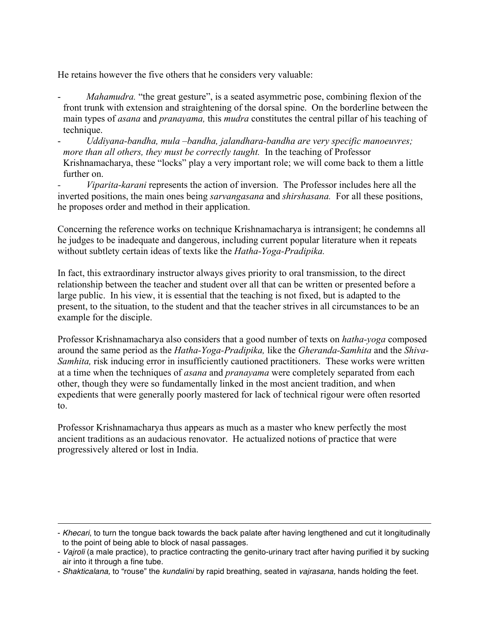He retains however the five others that he considers very valuable:

- *Mahamudra*. "the great gesture", is a seated asymmetric pose, combining flexion of the front trunk with extension and straightening of the dorsal spine. On the borderline between the main types of *asana* and *pranayama,* this *mudra* constitutes the central pillar of his teaching of technique.
- *Uddiyana-bandha, mula –bandha, jalandhara-bandha are very specific manoeuvres; more than all others, they must be correctly taught.* In the teaching of Professor Krishnamacharya, these "locks" play a very important role; we will come back to them a little further on.

*- Viparita-karani* represents the action of inversion. The Professor includes here all the inverted positions, the main ones being *sarvangasana* and *shirshasana.* For all these positions, he proposes order and method in their application.

Concerning the reference works on technique Krishnamacharya is intransigent; he condemns all he judges to be inadequate and dangerous, including current popular literature when it repeats without subtlety certain ideas of texts like the *Hatha-Yoga-Pradipika.* 

In fact, this extraordinary instructor always gives priority to oral transmission, to the direct relationship between the teacher and student over all that can be written or presented before a large public. In his view, it is essential that the teaching is not fixed, but is adapted to the present, to the situation, to the student and that the teacher strives in all circumstances to be an example for the disciple.

Professor Krishnamacharya also considers that a good number of texts on *hatha-yoga* composed around the same period as the *Hatha-Yoga-Pradipika,* like the *Gheranda-Samhita* and the *Shiva-Samhita,* risk inducing error in insufficiently cautioned practitioners. These works were written at a time when the techniques of *asana* and *pranayama* were completely separated from each other, though they were so fundamentally linked in the most ancient tradition, and when expedients that were generally poorly mastered for lack of technical rigour were often resorted to.

Professor Krishnamacharya thus appears as much as a master who knew perfectly the most ancient traditions as an audacious renovator. He actualized notions of practice that were progressively altered or lost in India.

 $\overline{a}$ 

<sup>-</sup> *Khecari*, to turn the tongue back towards the back palate after having lengthened and cut it longitudinally to the point of being able to block of nasal passages.

<sup>-</sup> *Vajroli* (a male practice), to practice contracting the genito-urinary tract after having purified it by sucking air into it through a fine tube.

<sup>-</sup> *Shakticalana,* to "rouse" the *kundalini* by rapid breathing, seated in *vajrasana,* hands holding the feet.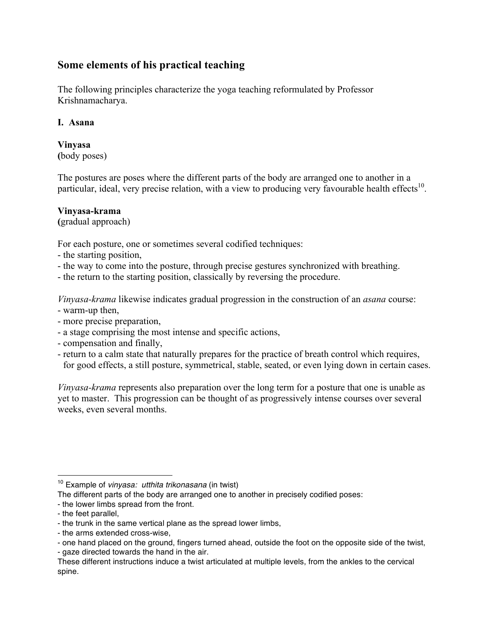# **Some elements of his practical teaching**

The following principles characterize the yoga teaching reformulated by Professor Krishnamacharya.

## **I. Asana**

#### **Vinyasa (**body poses)

The postures are poses where the different parts of the body are arranged one to another in a particular, ideal, very precise relation, with a view to producing very favourable health effects<sup>10</sup>.

# **Vinyasa-krama**

**(**gradual approach)

For each posture, one or sometimes several codified techniques:

- the starting position,
- the way to come into the posture, through precise gestures synchronized with breathing.
- the return to the starting position, classically by reversing the procedure.

*Vinyasa-krama* likewise indicates gradual progression in the construction of an *asana* course: - warm-up then,

- more precise preparation,
- a stage comprising the most intense and specific actions,
- compensation and finally,
- return to a calm state that naturally prepares for the practice of breath control which requires, for good effects, a still posture, symmetrical, stable, seated, or even lying down in certain cases.

*Vinyasa-krama* represents also preparation over the long term for a posture that one is unable as yet to master. This progression can be thought of as progressively intense courses over several weeks, even several months.

- the lower limbs spread from the front.

 $\overline{a}$ 

<sup>10</sup> Example of *vinyasa: utthita trikonasana* (in twist)

The different parts of the body are arranged one to another in precisely codified poses:

<sup>-</sup> the feet parallel,

<sup>-</sup> the trunk in the same vertical plane as the spread lower limbs,

<sup>-</sup> the arms extended cross-wise,

<sup>-</sup> one hand placed on the ground, fingers turned ahead, outside the foot on the opposite side of the twist, - gaze directed towards the hand in the air.

These different instructions induce a twist articulated at multiple levels, from the ankles to the cervical spine.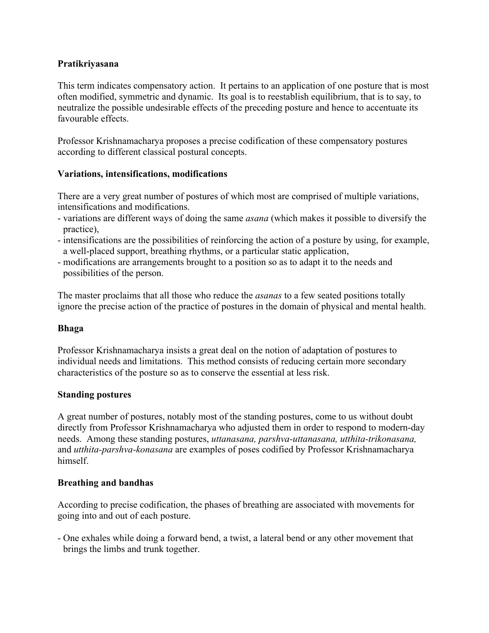### **Pratikriyasana**

This term indicates compensatory action. It pertains to an application of one posture that is most often modified, symmetric and dynamic. Its goal is to reestablish equilibrium, that is to say, to neutralize the possible undesirable effects of the preceding posture and hence to accentuate its favourable effects.

Professor Krishnamacharya proposes a precise codification of these compensatory postures according to different classical postural concepts.

### **Variations, intensifications, modifications**

There are a very great number of postures of which most are comprised of multiple variations, intensifications and modifications.

- variations are different ways of doing the same *asana* (which makes it possible to diversify the practice),
- intensifications are the possibilities of reinforcing the action of a posture by using, for example, a well-placed support, breathing rhythms, or a particular static application,
- modifications are arrangements brought to a position so as to adapt it to the needs and possibilities of the person.

The master proclaims that all those who reduce the *asanas* to a few seated positions totally ignore the precise action of the practice of postures in the domain of physical and mental health.

#### **Bhaga**

Professor Krishnamacharya insists a great deal on the notion of adaptation of postures to individual needs and limitations. This method consists of reducing certain more secondary characteristics of the posture so as to conserve the essential at less risk.

## **Standing postures**

A great number of postures, notably most of the standing postures, come to us without doubt directly from Professor Krishnamacharya who adjusted them in order to respond to modern-day needs. Among these standing postures, *uttanasana, parshva-uttanasana, utthita-trikonasana,*  and *utthita-parshva-konasana* are examples of poses codified by Professor Krishnamacharya himself.

#### **Breathing and bandhas**

According to precise codification, the phases of breathing are associated with movements for going into and out of each posture.

- One exhales while doing a forward bend, a twist, a lateral bend or any other movement that brings the limbs and trunk together.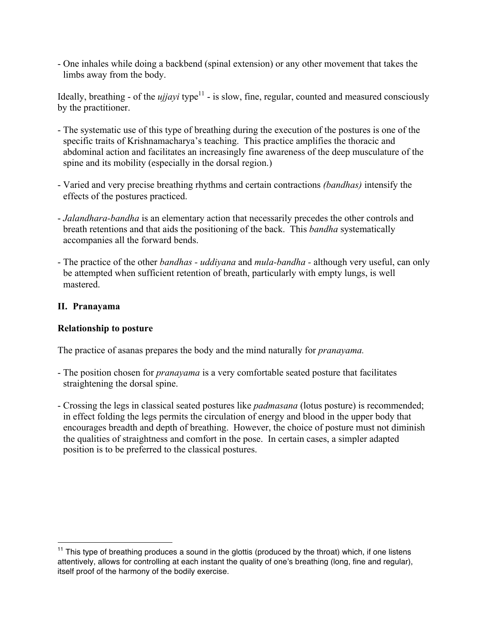- One inhales while doing a backbend (spinal extension) or any other movement that takes the limbs away from the body.

Ideally, breathing - of the  $ujjayi$  type<sup>11</sup> - is slow, fine, regular, counted and measured consciously by the practitioner.

- The systematic use of this type of breathing during the execution of the postures is one of the specific traits of Krishnamacharya's teaching. This practice amplifies the thoracic and abdominal action and facilitates an increasingly fine awareness of the deep musculature of the spine and its mobility (especially in the dorsal region.)
- Varied and very precise breathing rhythms and certain contractions *(bandhas)* intensify the effects of the postures practiced.
- *Jalandhara-bandha* is an elementary action that necessarily precedes the other controls and breath retentions and that aids the positioning of the back. This *bandha* systematically accompanies all the forward bends.
- The practice of the other *bandhas - uddiyana* and *mula-bandha -* although very useful, can only be attempted when sufficient retention of breath, particularly with empty lungs, is well mastered.

# **II. Pranayama**

 $\overline{a}$ 

## **Relationship to posture**

The practice of asanas prepares the body and the mind naturally for *pranayama.*

- The position chosen for *pranayama* is a very comfortable seated posture that facilitates straightening the dorsal spine.
- Crossing the legs in classical seated postures like *padmasana* (lotus posture) is recommended; in effect folding the legs permits the circulation of energy and blood in the upper body that encourages breadth and depth of breathing. However, the choice of posture must not diminish the qualities of straightness and comfort in the pose. In certain cases, a simpler adapted position is to be preferred to the classical postures.

 $11$  This type of breathing produces a sound in the glottis (produced by the throat) which, if one listens attentively, allows for controlling at each instant the quality of one's breathing (long, fine and regular), itself proof of the harmony of the bodily exercise.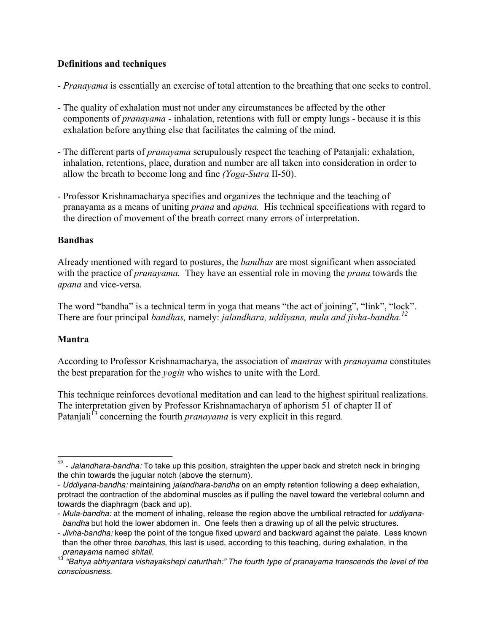# **Definitions and techniques**

- *Pranayama* is essentially an exercise of total attention to the breathing that one seeks to control.
- The quality of exhalation must not under any circumstances be affected by the other components of *pranayama* - inhalation, retentions with full or empty lungs - because it is this exhalation before anything else that facilitates the calming of the mind.
- The different parts of *pranayama* scrupulously respect the teaching of Patanjali: exhalation, inhalation, retentions, place, duration and number are all taken into consideration in order to allow the breath to become long and fine *(Yoga-Sutra* II-50).
- Professor Krishnamacharya specifies and organizes the technique and the teaching of pranayama as a means of uniting *prana* and *apana.* His technical specifications with regard to the direction of movement of the breath correct many errors of interpretation.

## **Bandhas**

Already mentioned with regard to postures, the *bandhas* are most significant when associated with the practice of *pranayama.* They have an essential role in moving the *prana* towards the *apana* and vice-versa.

The word "bandha" is a technical term in yoga that means "the act of joining", "link", "lock". There are four principal *bandhas,* namely: *jalandhara, uddiyana, mula and jivha-bandha.12*

# **Mantra**

 $\overline{a}$ 

According to Professor Krishnamacharya, the association of *mantras* with *pranayama* constitutes the best preparation for the *yogin* who wishes to unite with the Lord.

This technique reinforces devotional meditation and can lead to the highest spiritual realizations. The interpretation given by Professor Krishnamacharya of aphorism 51 of chapter II of Patanjali<sup>13</sup> concerning the fourth *pranayama* is very explicit in this regard.

<sup>&</sup>lt;sup>12</sup> - *Jalandhara-bandha:* To take up this position, straighten the upper back and stretch neck in bringing the chin towards the jugular notch (above the sternum).

<sup>-</sup> *Uddiyana-bandha:* maintaining *jalandhara-bandha* on an empty retention following a deep exhalation, protract the contraction of the abdominal muscles as if pulling the navel toward the vertebral column and towards the diaphragm (back and up).

<sup>-</sup> *Mula-bandha:* at the moment of inhaling, release the region above the umbilical retracted for *uddiyanabandha* but hold the lower abdomen in. One feels then a drawing up of all the pelvic structures.

<sup>-</sup> *Jivha-bandha:* keep the point of the tongue fixed upward and backward against the palate. Less known than the other three *bandhas*, this last is used, according to this teaching, during exhalation, in the *pranayama* named *shitali.*

<sup>13</sup> *"Bahya abhyantara vishayakshepi caturthah:" The fourth type of pranayama transcends the level of the consciousness.*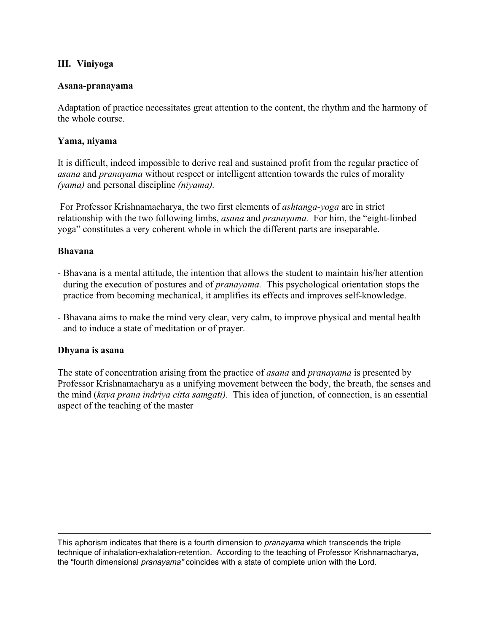### **III. Viniyoga**

#### **Asana-pranayama**

Adaptation of practice necessitates great attention to the content, the rhythm and the harmony of the whole course.

#### **Yama, niyama**

It is difficult, indeed impossible to derive real and sustained profit from the regular practice of *asana* and *pranayama* without respect or intelligent attention towards the rules of morality *(yama)* and personal discipline *(niyama).*

For Professor Krishnamacharya, the two first elements of *ashtanga-yoga* are in strict relationship with the two following limbs, *asana* and *pranayama.* For him, the "eight-limbed yoga" constitutes a very coherent whole in which the different parts are inseparable.

#### **Bhavana**

- Bhavana is a mental attitude, the intention that allows the student to maintain his/her attention during the execution of postures and of *pranayama.* This psychological orientation stops the practice from becoming mechanical, it amplifies its effects and improves self-knowledge.
- Bhavana aims to make the mind very clear, very calm, to improve physical and mental health and to induce a state of meditation or of prayer.

#### **Dhyana is asana**

 $\overline{a}$ 

The state of concentration arising from the practice of *asana* and *pranayama* is presented by Professor Krishnamacharya as a unifying movement between the body, the breath, the senses and the mind (*kaya prana indriya citta samgati).* This idea of junction, of connection, is an essential aspect of the teaching of the master

This aphorism indicates that there is a fourth dimension to *pranayama* which transcends the triple technique of inhalation-exhalation-retention. According to the teaching of Professor Krishnamacharya, the "fourth dimensional *pranayama"* coincides with a state of complete union with the Lord.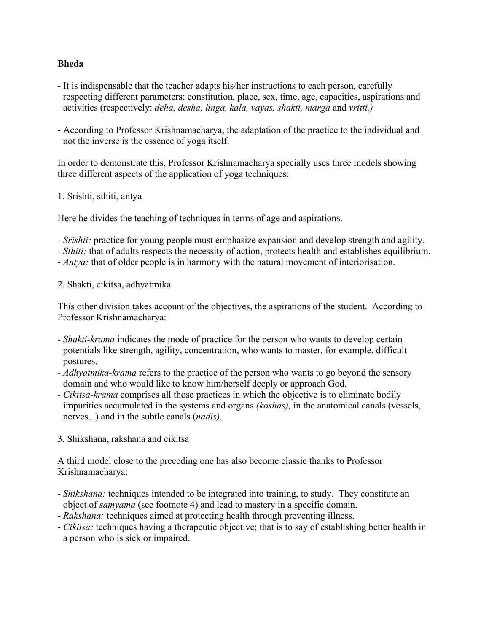### **Bheda**

- It is indispensable that the teacher adapts his/her instructions to each person, carefully respecting different parameters: constitution, place, sex, time, age, capacities, aspirations and activities (respectively: *deha, desha, linga, kala, vayas, shakti, marga* and *vritti.)*
- According to Professor Krishnamacharya, the adaptation of the practice to the individual and not the inverse is the essence of yoga itself.

In order to demonstrate this, Professor Krishnamacharya specially uses three models showing three different aspects of the application of yoga techniques:

#### 1. Srishti, sthiti, antya

Here he divides the teaching of techniques in terms of age and aspirations.

- *Srishti:* practice for young people must emphasize expansion and develop strength and agility.
- *Sthiti:* that of adults respects the necessity of action, protects health and establishes equilibrium.
- *Antya:* that of older people is in harmony with the natural movement of interiorisation.
- 2. Shakti, cikitsa, adhyatmika

This other division takes account of the objectives, the aspirations of the student. According to Professor Krishnamacharya:

- *Shakti-krama* indicates the mode of practice for the person who wants to develop certain potentials like strength, agility, concentration, who wants to master, for example, difficult postures.
- *Adhyatmika-krama* refers to the practice of the person who wants to go beyond the sensory domain and who would like to know him/herself deeply or approach God.
- *- Cikitsa-krama* comprises all those practices in which the objective is to eliminate bodily impurities accumulated in the systems and organs *(koshas),* in the anatomical canals (vessels, nerves...) and in the subtle canals (*nadis).*
- 3. Shikshana, rakshana and cikitsa

A third model close to the preceding one has also become classic thanks to Professor Krishnamacharya:

- *Shikshana:* techniques intended to be integrated into training, to study. They constitute an object of *samyama* (see footnote 4) and lead to mastery in a specific domain.
- *Rakshana:* techniques aimed at protecting health through preventing illness.
- *Cikitsa:* techniques having a therapeutic objective; that is to say of establishing better health in a person who is sick or impaired.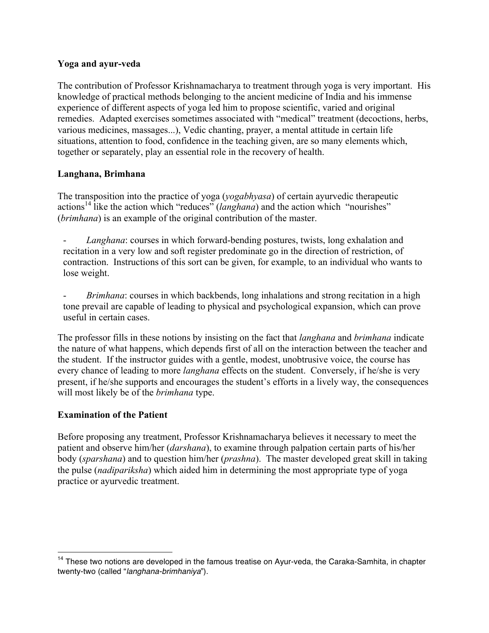### **Yoga and ayur-veda**

The contribution of Professor Krishnamacharya to treatment through yoga is very important. His knowledge of practical methods belonging to the ancient medicine of India and his immense experience of different aspects of yoga led him to propose scientific, varied and original remedies. Adapted exercises sometimes associated with "medical" treatment (decoctions, herbs, various medicines, massages...), Vedic chanting, prayer, a mental attitude in certain life situations, attention to food, confidence in the teaching given, are so many elements which, together or separately, play an essential role in the recovery of health.

## **Langhana, Brimhana**

The transposition into the practice of yoga (*yogabhyasa*) of certain ayurvedic therapeutic actions<sup>14</sup> like the action which "reduces" (*langhana*) and the action which "nourishes" (*brimhana*) is an example of the original contribution of the master.

Langhana: courses in which forward-bending postures, twists, long exhalation and recitation in a very low and soft register predominate go in the direction of restriction, of contraction. Instructions of this sort can be given, for example, to an individual who wants to lose weight.

- *Brimhana*: courses in which backbends, long inhalations and strong recitation in a high tone prevail are capable of leading to physical and psychological expansion, which can prove useful in certain cases.

The professor fills in these notions by insisting on the fact that *langhana* and *brimhana* indicate the nature of what happens, which depends first of all on the interaction between the teacher and the student. If the instructor guides with a gentle, modest, unobtrusive voice, the course has every chance of leading to more *langhana* effects on the student. Conversely, if he/she is very present, if he/she supports and encourages the student's efforts in a lively way, the consequences will most likely be of the *brimhana* type.

#### **Examination of the Patient**

 $\overline{a}$ 

Before proposing any treatment, Professor Krishnamacharya believes it necessary to meet the patient and observe him/her (*darshana*), to examine through palpation certain parts of his/her body (*sparshana*) and to question him/her (*prashna*). The master developed great skill in taking the pulse (*nadipariksha*) which aided him in determining the most appropriate type of yoga practice or ayurvedic treatment.

<sup>&</sup>lt;sup>14</sup> These two notions are developed in the famous treatise on Ayur-veda, the Caraka-Samhita, in chapter twenty-two (called "*langhana-brimhaniya*").